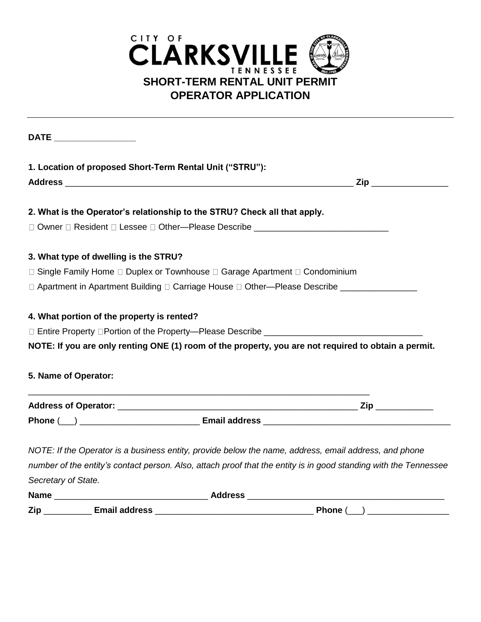

| DATE ___________________ |                                                          |                                                                                                                  |
|--------------------------|----------------------------------------------------------|------------------------------------------------------------------------------------------------------------------|
|                          | 1. Location of proposed Short-Term Rental Unit ("STRU"): |                                                                                                                  |
|                          |                                                          |                                                                                                                  |
|                          |                                                          | 2. What is the Operator's relationship to the STRU? Check all that apply.                                        |
|                          |                                                          | □ Owner □ Resident □ Lessee □ Other—Please Describe ____________________________                                 |
|                          | 3. What type of dwelling is the STRU?                    |                                                                                                                  |
|                          |                                                          | □ Single Family Home □ Duplex or Townhouse □ Garage Apartment □ Condominium                                      |
|                          |                                                          | □ Apartment in Apartment Building □ Carriage House □ Other—Please Describe ________________                      |
|                          | 4. What portion of the property is rented?               |                                                                                                                  |
|                          |                                                          |                                                                                                                  |
|                          |                                                          | NOTE: If you are only renting ONE (1) room of the property, you are not required to obtain a permit.             |
| 5. Name of Operator:     |                                                          |                                                                                                                  |
|                          |                                                          |                                                                                                                  |
|                          |                                                          |                                                                                                                  |
|                          |                                                          | NOTE: If the Operator is a business entity, provide below the name, address, email address, and phone            |
|                          |                                                          | number of the entity's contact person. Also, attach proof that the entity is in good standing with the Tennessee |
| Secretary of State.      |                                                          |                                                                                                                  |
|                          |                                                          |                                                                                                                  |
|                          |                                                          | Phone (__) _________________                                                                                     |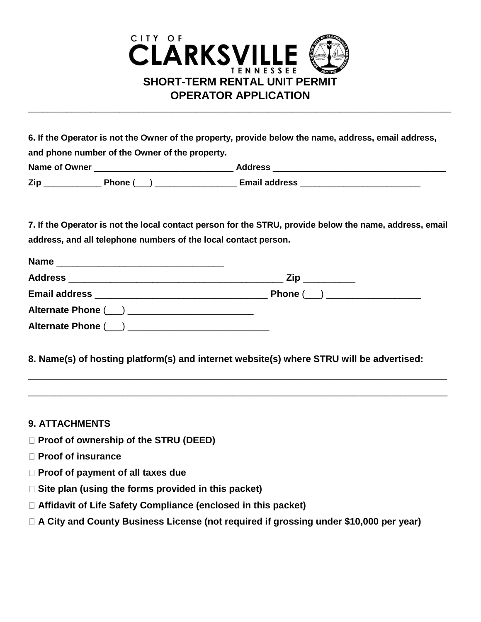

| 6. If the Operator is not the Owner of the property, provide below the name, address, email address, |                                                |                      |  |  |  |
|------------------------------------------------------------------------------------------------------|------------------------------------------------|----------------------|--|--|--|
|                                                                                                      | and phone number of the Owner of the property. |                      |  |  |  |
| <b>Name of Owner</b>                                                                                 |                                                | <b>Address</b>       |  |  |  |
| Zip                                                                                                  | Phone (                                        | <b>Email address</b> |  |  |  |

**7. If the Operator is not the local contact person for the STRU, provide below the name, address, email address, and all telephone numbers of the local contact person.** 

| <b>Name</b>                                        |                              |
|----------------------------------------------------|------------------------------|
|                                                    |                              |
|                                                    | Phone (__) _________________ |
| Alternate Phone (___) ____________________________ |                              |
|                                                    |                              |

**8. Name(s) of hosting platform(s) and internet website(s) where STRU will be advertised:** 

\_\_\_\_\_\_\_\_\_\_\_\_\_\_\_\_\_\_\_\_\_\_\_\_\_\_\_\_\_\_\_\_\_\_\_\_\_\_\_\_\_\_\_\_\_\_\_\_\_\_\_\_\_\_\_\_\_\_\_\_\_\_\_\_\_\_\_\_\_\_\_\_\_\_\_\_\_\_\_\_

\_\_\_\_\_\_\_\_\_\_\_\_\_\_\_\_\_\_\_\_\_\_\_\_\_\_\_\_\_\_\_\_\_\_\_\_\_\_\_\_\_\_\_\_\_\_\_\_\_\_\_\_\_\_\_\_\_\_\_\_\_\_\_\_\_\_\_\_\_\_\_\_\_\_\_\_\_\_\_\_

## **9. ATTACHMENTS**

- **Proof of ownership of the STRU (DEED)**
- **Proof of insurance**
- **Proof of payment of all taxes due**
- **Site plan (using the forms provided in this packet)**
- **Affidavit of Life Safety Compliance (enclosed in this packet)**
- **A City and County Business License (not required if grossing under \$10,000 per year)**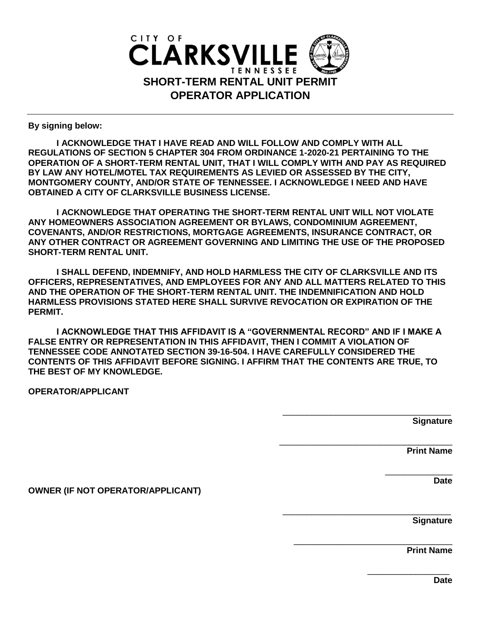

**By signing below:**

**I ACKNOWLEDGE THAT I HAVE READ AND WILL FOLLOW AND COMPLY WITH ALL REGULATIONS OF SECTION 5 CHAPTER 304 FROM ORDINANCE 1-2020-21 PERTAINING TO THE OPERATION OF A SHORT-TERM RENTAL UNIT, THAT I WILL COMPLY WITH AND PAY AS REQUIRED BY LAW ANY HOTEL/MOTEL TAX REQUIREMENTS AS LEVIED OR ASSESSED BY THE CITY, MONTGOMERY COUNTY, AND/OR STATE OF TENNESSEE. I ACKNOWLEDGE I NEED AND HAVE OBTAINED A CITY OF CLARKSVILLE BUSINESS LICENSE.**

**I ACKNOWLEDGE THAT OPERATING THE SHORT-TERM RENTAL UNIT WILL NOT VIOLATE ANY HOMEOWNERS ASSOCIATION AGREEMENT OR BYLAWS, CONDOMINIUM AGREEMENT, COVENANTS, AND/OR RESTRICTIONS, MORTGAGE AGREEMENTS, INSURANCE CONTRACT, OR ANY OTHER CONTRACT OR AGREEMENT GOVERNING AND LIMITING THE USE OF THE PROPOSED SHORT-TERM RENTAL UNIT.**

**I SHALL DEFEND, INDEMNIFY, AND HOLD HARMLESS THE CITY OF CLARKSVILLE AND ITS OFFICERS, REPRESENTATIVES, AND EMPLOYEES FOR ANY AND ALL MATTERS RELATED TO THIS AND THE OPERATION OF THE SHORT-TERM RENTAL UNIT. THE INDEMNIFICATION AND HOLD HARMLESS PROVISIONS STATED HERE SHALL SURVIVE REVOCATION OR EXPIRATION OF THE PERMIT.** 

**I ACKNOWLEDGE THAT THIS AFFIDAVIT IS A "GOVERNMENTAL RECORD" AND IF I MAKE A FALSE ENTRY OR REPRESENTATION IN THIS AFFIDAVIT, THEN I COMMIT A VIOLATION OF TENNESSEE CODE ANNOTATED SECTION 39-16-504. I HAVE CAREFULLY CONSIDERED THE CONTENTS OF THIS AFFIDAVIT BEFORE SIGNING. I AFFIRM THAT THE CONTENTS ARE TRUE, TO THE BEST OF MY KNOWLEDGE.** 

**OPERATOR/APPLICANT** 

\_\_\_\_\_\_\_\_\_\_\_\_\_\_\_\_\_\_\_\_\_\_\_\_\_\_\_\_\_\_\_\_\_\_\_ **Signature** 

\_\_\_\_\_\_\_\_\_\_\_\_\_\_\_\_\_\_\_\_\_\_\_\_\_\_\_\_\_\_\_\_\_\_\_\_

\_\_\_\_\_\_\_\_\_\_\_\_\_\_\_\_\_\_\_\_\_\_\_\_\_\_\_\_\_\_\_\_\_\_\_

\_\_\_\_\_\_\_\_\_\_\_\_\_\_\_\_\_\_\_\_\_\_\_\_\_\_\_\_\_\_\_\_\_

**Print Name**

\_\_\_\_\_\_\_\_\_\_\_\_\_\_ **Date** 

**OWNER (IF NOT OPERATOR/APPLICANT)** 

**Signature** 

**Print Name**

\_\_\_\_\_\_\_\_\_\_\_\_\_\_\_\_\_

**Date**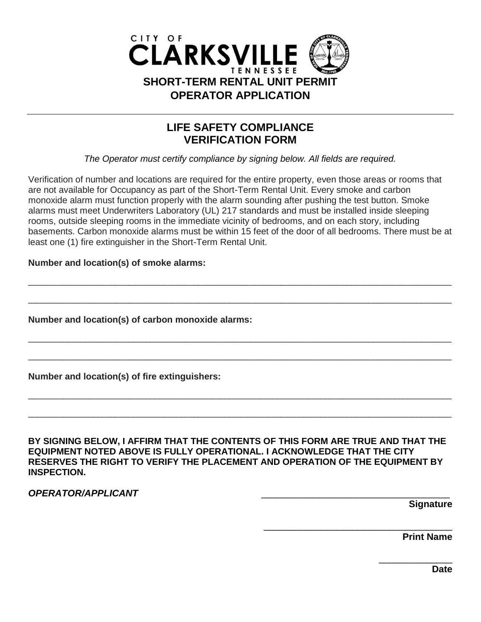

## **LIFE SAFETY COMPLIANCE VERIFICATION FORM**

*The Operator must certify compliance by signing below. All fields are required.*

Verification of number and locations are required for the entire property, even those areas or rooms that are not available for Occupancy as part of the Short-Term Rental Unit. Every smoke and carbon monoxide alarm must function properly with the alarm sounding after pushing the test button. Smoke alarms must meet Underwriters Laboratory (UL) 217 standards and must be installed inside sleeping rooms, outside sleeping rooms in the immediate vicinity of bedrooms, and on each story, including basements. Carbon monoxide alarms must be within 15 feet of the door of all bedrooms. There must be at least one (1) fire extinguisher in the Short-Term Rental Unit.

\_\_\_\_\_\_\_\_\_\_\_\_\_\_\_\_\_\_\_\_\_\_\_\_\_\_\_\_\_\_\_\_\_\_\_\_\_\_\_\_\_\_\_\_\_\_\_\_\_\_\_\_\_\_\_\_\_\_\_\_\_\_\_\_\_\_\_\_\_\_\_\_\_\_\_\_\_\_\_\_\_\_\_\_\_\_\_\_\_\_\_\_\_\_\_\_\_

\_\_\_\_\_\_\_\_\_\_\_\_\_\_\_\_\_\_\_\_\_\_\_\_\_\_\_\_\_\_\_\_\_\_\_\_\_\_\_\_\_\_\_\_\_\_\_\_\_\_\_\_\_\_\_\_\_\_\_\_\_\_\_\_\_\_\_\_\_\_\_\_\_\_\_\_\_\_\_\_\_\_\_\_\_\_\_\_\_\_\_\_\_\_\_\_\_

\_\_\_\_\_\_\_\_\_\_\_\_\_\_\_\_\_\_\_\_\_\_\_\_\_\_\_\_\_\_\_\_\_\_\_\_\_\_\_\_\_\_\_\_\_\_\_\_\_\_\_\_\_\_\_\_\_\_\_\_\_\_\_\_\_\_\_\_\_\_\_\_\_\_\_\_\_\_\_\_\_\_\_\_\_\_\_\_\_\_\_\_\_\_\_\_\_

\_\_\_\_\_\_\_\_\_\_\_\_\_\_\_\_\_\_\_\_\_\_\_\_\_\_\_\_\_\_\_\_\_\_\_\_\_\_\_\_\_\_\_\_\_\_\_\_\_\_\_\_\_\_\_\_\_\_\_\_\_\_\_\_\_\_\_\_\_\_\_\_\_\_\_\_\_\_\_\_\_\_\_\_\_\_\_\_\_\_\_\_\_\_\_\_\_

\_\_\_\_\_\_\_\_\_\_\_\_\_\_\_\_\_\_\_\_\_\_\_\_\_\_\_\_\_\_\_\_\_\_\_\_\_\_\_\_\_\_\_\_\_\_\_\_\_\_\_\_\_\_\_\_\_\_\_\_\_\_\_\_\_\_\_\_\_\_\_\_\_\_\_\_\_\_\_\_\_\_\_\_\_\_\_\_\_\_\_\_\_\_\_\_\_

 $\Box$ 

**Number and location(s) of smoke alarms:** 

**Number and location(s) of carbon monoxide alarms:** 

**Number and location(s) of fire extinguishers:** 

**BY SIGNING BELOW, I AFFIRM THAT THE CONTENTS OF THIS FORM ARE TRUE AND THAT THE EQUIPMENT NOTED ABOVE IS FULLY OPERATIONAL. I ACKNOWLEDGE THAT THE CITY RESERVES THE RIGHT TO VERIFY THE PLACEMENT AND OPERATION OF THE EQUIPMENT BY INSPECTION.** 

*OPERATOR/APPLICANT* \_\_\_\_\_\_\_\_\_\_\_\_\_\_\_\_\_\_\_\_\_\_\_\_\_\_\_\_\_\_\_\_\_\_\_\_

**Signature** 

**Print Name** 

\_\_\_\_\_\_\_\_\_\_\_\_\_\_

\_\_\_\_\_\_\_\_\_\_\_\_\_\_\_\_\_\_\_\_\_\_\_\_\_\_\_\_\_\_\_\_\_\_\_\_

**Date**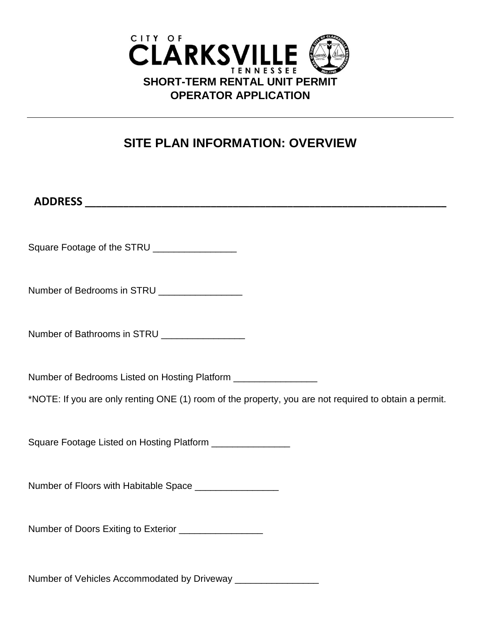

## **SITE PLAN INFORMATION: OVERVIEW**

| Square Footage of the STRU _______________                                                                                                                              |
|-------------------------------------------------------------------------------------------------------------------------------------------------------------------------|
| Number of Bedrooms in STRU _________________                                                                                                                            |
| Number of Bathrooms in STRU _________________                                                                                                                           |
| Number of Bedrooms Listed on Hosting Platform ________________<br>*NOTE: If you are only renting ONE (1) room of the property, you are not required to obtain a permit. |
| Square Footage Listed on Hosting Platform _______________                                                                                                               |
| Number of Floors with Habitable Space __________________                                                                                                                |
| Number of Doors Exiting to Exterior ________________                                                                                                                    |
|                                                                                                                                                                         |

Number of Vehicles Accommodated by Driveway \_\_\_\_\_